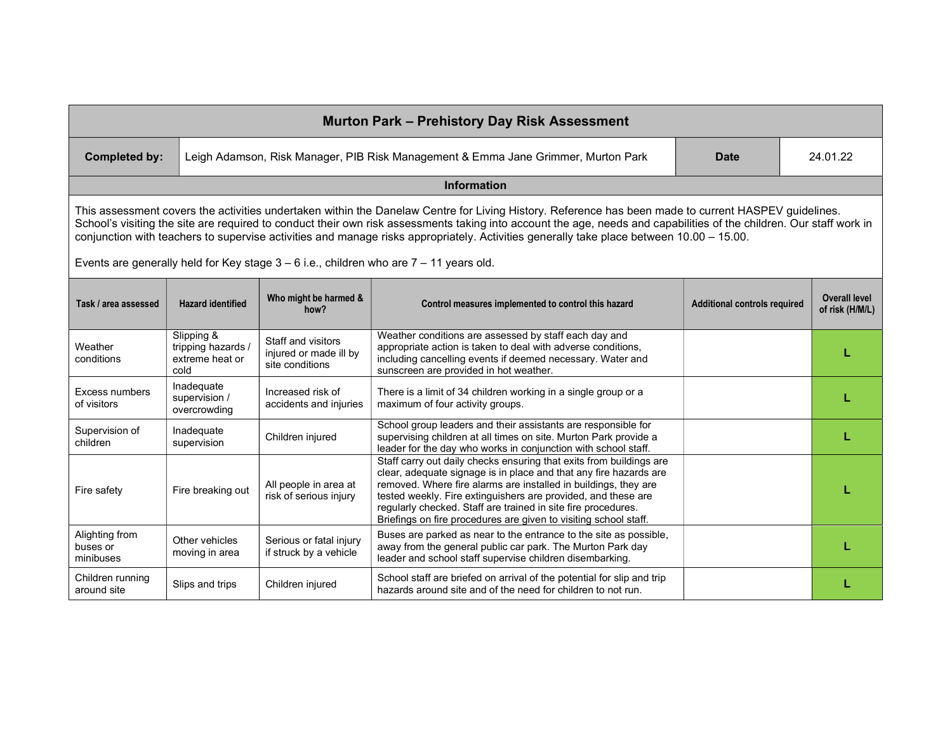| <b>Murton Park - Prehistory Day Risk Assessment</b>                                                                                                                                                                                                                                                                                                                                                                                                                      |                                                             |                                                                 |                                                                                                                                                                                                                                                                                                                                                                                                                   |                                     |          |                                         |  |  |
|--------------------------------------------------------------------------------------------------------------------------------------------------------------------------------------------------------------------------------------------------------------------------------------------------------------------------------------------------------------------------------------------------------------------------------------------------------------------------|-------------------------------------------------------------|-----------------------------------------------------------------|-------------------------------------------------------------------------------------------------------------------------------------------------------------------------------------------------------------------------------------------------------------------------------------------------------------------------------------------------------------------------------------------------------------------|-------------------------------------|----------|-----------------------------------------|--|--|
| <b>Completed by:</b>                                                                                                                                                                                                                                                                                                                                                                                                                                                     |                                                             |                                                                 | Leigh Adamson, Risk Manager, PIB Risk Management & Emma Jane Grimmer, Murton Park                                                                                                                                                                                                                                                                                                                                 | <b>Date</b>                         | 24.01.22 |                                         |  |  |
| <b>Information</b>                                                                                                                                                                                                                                                                                                                                                                                                                                                       |                                                             |                                                                 |                                                                                                                                                                                                                                                                                                                                                                                                                   |                                     |          |                                         |  |  |
| This assessment covers the activities undertaken within the Danelaw Centre for Living History. Reference has been made to current HASPEV guidelines.<br>School's visiting the site are required to conduct their own risk assessments taking into account the age, needs and capabilities of the children. Our staff work in<br>conjunction with teachers to supervise activities and manage risks appropriately. Activities generally take place between 10.00 - 15.00. |                                                             |                                                                 |                                                                                                                                                                                                                                                                                                                                                                                                                   |                                     |          |                                         |  |  |
|                                                                                                                                                                                                                                                                                                                                                                                                                                                                          |                                                             |                                                                 | Events are generally held for Key stage $3 - 6$ i.e., children who are $7 - 11$ years old.                                                                                                                                                                                                                                                                                                                        |                                     |          |                                         |  |  |
| Task / area assessed                                                                                                                                                                                                                                                                                                                                                                                                                                                     | <b>Hazard identified</b>                                    | Who might be harmed &<br>how?                                   | Control measures implemented to control this hazard                                                                                                                                                                                                                                                                                                                                                               | <b>Additional controls required</b> |          | <b>Overall level</b><br>of risk (H/M/L) |  |  |
| Weather<br>conditions                                                                                                                                                                                                                                                                                                                                                                                                                                                    | Slipping &<br>tripping hazards /<br>extreme heat or<br>cold | Staff and visitors<br>injured or made ill by<br>site conditions | Weather conditions are assessed by staff each day and<br>appropriate action is taken to deal with adverse conditions,<br>including cancelling events if deemed necessary. Water and<br>sunscreen are provided in hot weather.                                                                                                                                                                                     |                                     |          |                                         |  |  |
| <b>Excess numbers</b><br>of visitors                                                                                                                                                                                                                                                                                                                                                                                                                                     | Inadequate<br>supervision /<br>overcrowding                 | Increased risk of<br>accidents and injuries                     | There is a limit of 34 children working in a single group or a<br>maximum of four activity groups.                                                                                                                                                                                                                                                                                                                |                                     |          |                                         |  |  |
| Supervision of<br>children                                                                                                                                                                                                                                                                                                                                                                                                                                               | Inadequate<br>supervision                                   | Children injured                                                | School group leaders and their assistants are responsible for<br>supervising children at all times on site. Murton Park provide a<br>leader for the day who works in conjunction with school staff.                                                                                                                                                                                                               |                                     |          |                                         |  |  |
| Fire safety                                                                                                                                                                                                                                                                                                                                                                                                                                                              | Fire breaking out                                           | All people in area at<br>risk of serious injury                 | Staff carry out daily checks ensuring that exits from buildings are<br>clear, adequate signage is in place and that any fire hazards are<br>removed. Where fire alarms are installed in buildings, they are<br>tested weekly. Fire extinguishers are provided, and these are<br>regularly checked. Staff are trained in site fire procedures.<br>Briefings on fire procedures are given to visiting school staff. |                                     |          |                                         |  |  |
| Alighting from<br>buses or<br>minibuses                                                                                                                                                                                                                                                                                                                                                                                                                                  | Other vehicles<br>moving in area                            | Serious or fatal injury<br>if struck by a vehicle               | Buses are parked as near to the entrance to the site as possible,<br>away from the general public car park. The Murton Park day<br>leader and school staff supervise children disembarking.                                                                                                                                                                                                                       |                                     |          |                                         |  |  |
| Children running<br>around site                                                                                                                                                                                                                                                                                                                                                                                                                                          | Slips and trips                                             | Children injured                                                | School staff are briefed on arrival of the potential for slip and trip<br>hazards around site and of the need for children to not run.                                                                                                                                                                                                                                                                            |                                     |          |                                         |  |  |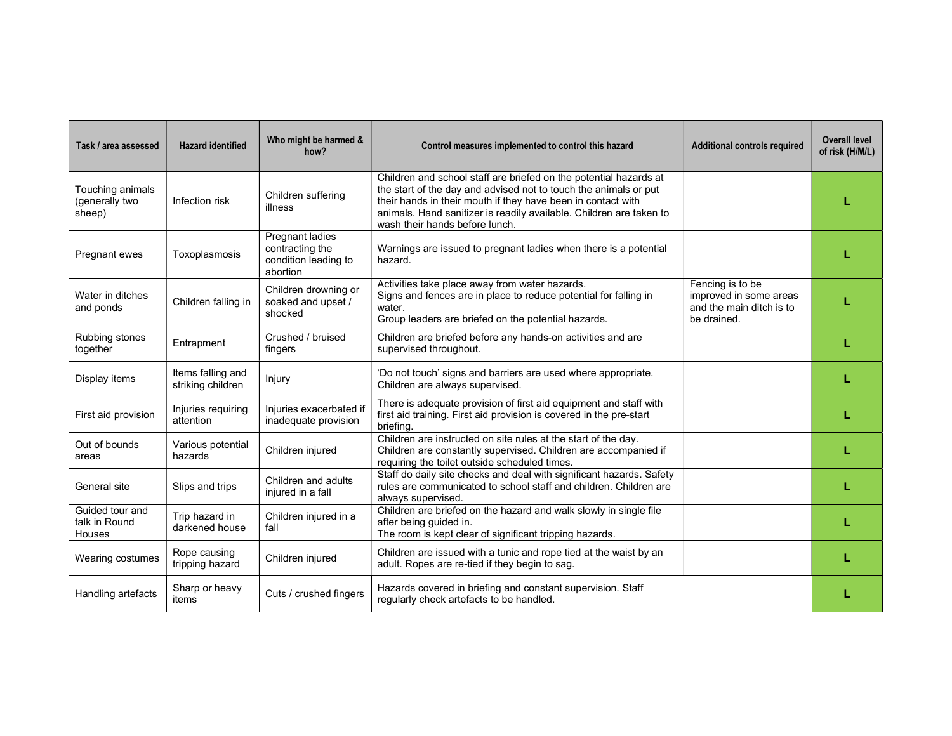| Task / area assessed                              | <b>Hazard identified</b>               | Who might be harmed &<br>how?                                                 | Control measures implemented to control this hazard                                                                                                                                                                                                                                                            | <b>Additional controls required</b>                                                   | <b>Overall level</b><br>of risk (H/M/L) |
|---------------------------------------------------|----------------------------------------|-------------------------------------------------------------------------------|----------------------------------------------------------------------------------------------------------------------------------------------------------------------------------------------------------------------------------------------------------------------------------------------------------------|---------------------------------------------------------------------------------------|-----------------------------------------|
| Touching animals<br>(generally two<br>sheep)      | Infection risk                         | Children suffering<br>illness                                                 | Children and school staff are briefed on the potential hazards at<br>the start of the day and advised not to touch the animals or put<br>their hands in their mouth if they have been in contact with<br>animals. Hand sanitizer is readily available. Children are taken to<br>wash their hands before lunch. |                                                                                       |                                         |
| Pregnant ewes                                     | Toxoplasmosis                          | <b>Pregnant ladies</b><br>contracting the<br>condition leading to<br>abortion | Warnings are issued to pregnant ladies when there is a potential<br>hazard.                                                                                                                                                                                                                                    |                                                                                       |                                         |
| Water in ditches<br>and ponds                     | Children falling in                    | Children drowning or<br>soaked and upset /<br>shocked                         | Activities take place away from water hazards.<br>Signs and fences are in place to reduce potential for falling in<br>water.<br>Group leaders are briefed on the potential hazards.                                                                                                                            | Fencing is to be<br>improved in some areas<br>and the main ditch is to<br>be drained. |                                         |
| Rubbing stones<br>together                        | Entrapment                             | Crushed / bruised<br>fingers                                                  | Children are briefed before any hands-on activities and are<br>supervised throughout.                                                                                                                                                                                                                          |                                                                                       |                                         |
| Display items                                     | Items falling and<br>striking children | Injury                                                                        | 'Do not touch' signs and barriers are used where appropriate.<br>Children are always supervised.                                                                                                                                                                                                               |                                                                                       |                                         |
| First aid provision                               | Injuries requiring<br>attention        | Injuries exacerbated if<br>inadequate provision                               | There is adequate provision of first aid equipment and staff with<br>first aid training. First aid provision is covered in the pre-start<br>briefing.                                                                                                                                                          |                                                                                       |                                         |
| Out of bounds<br>areas                            | Various potential<br>hazards           | Children injured                                                              | Children are instructed on site rules at the start of the day.<br>Children are constantly supervised. Children are accompanied if<br>requiring the toilet outside scheduled times.                                                                                                                             |                                                                                       |                                         |
| General site                                      | Slips and trips                        | Children and adults<br>injured in a fall                                      | Staff do daily site checks and deal with significant hazards. Safety<br>rules are communicated to school staff and children. Children are<br>always supervised.                                                                                                                                                |                                                                                       |                                         |
| Guided tour and<br>talk in Round<br><b>Houses</b> | Trip hazard in<br>darkened house       | Children injured in a<br>fall                                                 | Children are briefed on the hazard and walk slowly in single file<br>after being guided in.<br>The room is kept clear of significant tripping hazards.                                                                                                                                                         |                                                                                       |                                         |
| Wearing costumes                                  | Rope causing<br>tripping hazard        | Children injured                                                              | Children are issued with a tunic and rope tied at the waist by an<br>adult. Ropes are re-tied if they begin to sag.                                                                                                                                                                                            |                                                                                       |                                         |
| Handling artefacts                                | Sharp or heavy<br>items                | Cuts / crushed fingers                                                        | Hazards covered in briefing and constant supervision. Staff<br>regularly check artefacts to be handled.                                                                                                                                                                                                        |                                                                                       |                                         |